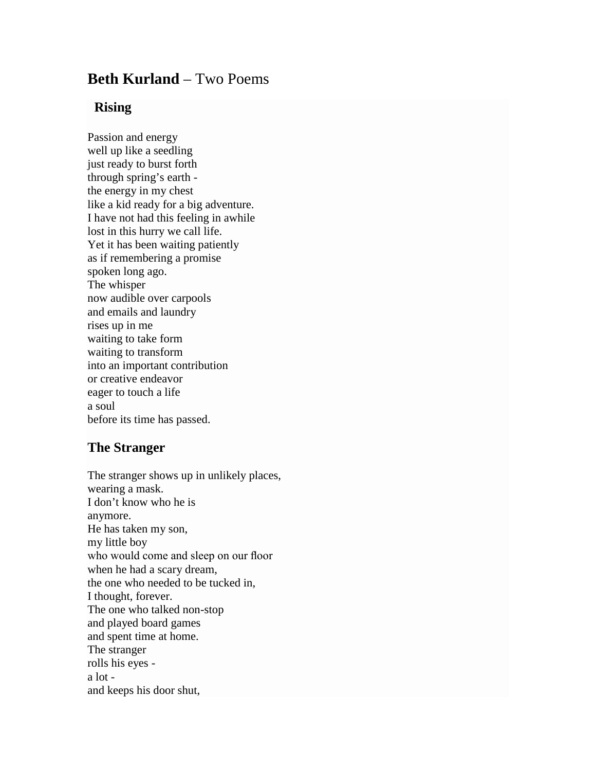## **Beth Kurland** – Two Poems

## **Rising**

Passion and energy well up like a seedling just ready to burst forth through spring's earth the energy in my chest like a kid ready for a big adventure. I have not had this feeling in awhile lost in this hurry we call life. Yet it has been waiting patiently as if remembering a promise spoken long ago. The whisper now audible over carpools and emails and laundry rises up in me waiting to take form waiting to transform into an important contribution or creative endeavor eager to touch a life a soul before its time has passed.

## **The Stranger**

The stranger shows up in unlikely places, wearing a mask. I don't know who he is anymore. He has taken my son, my little boy who would come and sleep on our floor when he had a scary dream, the one who needed to be tucked in, I thought, forever. The one who talked non-stop and played board games and spent time at home. The stranger rolls his eyes a lot and keeps his door shut,